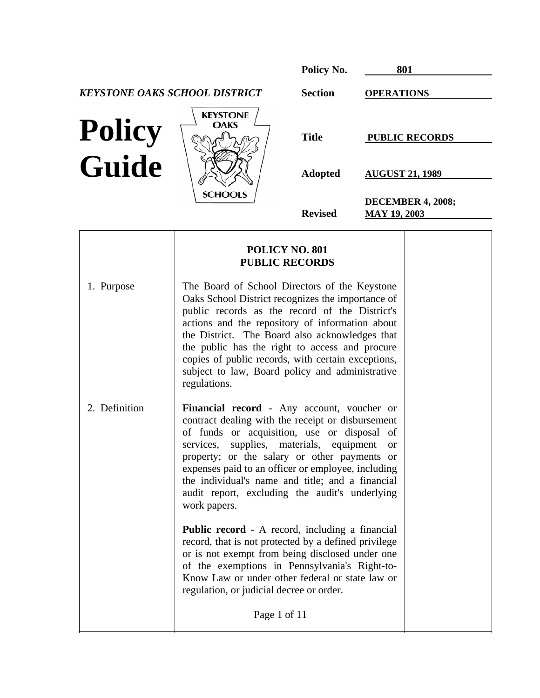|                        |                                                                                                    | Policy No.                                     | 801                                             |
|------------------------|----------------------------------------------------------------------------------------------------|------------------------------------------------|-------------------------------------------------|
|                        | <b>KEYSTONE OAKS SCHOOL DISTRICT</b>                                                               | <b>Section</b>                                 | <b>OPERATIONS</b>                               |
| <b>Policy</b><br>Guide | <b>KEYSTONE</b><br><b>OAKS</b>                                                                     | <b>Title</b><br><b>Adopted</b>                 | <b>PUBLIC RECORDS</b><br><b>AUGUST 21, 1989</b> |
|                        | <b>SCHOOLS</b>                                                                                     | <b>Revised</b>                                 | <b>DECEMBER 4, 2008;</b><br><b>MAY 19, 2003</b> |
|                        |                                                                                                    | <b>POLICY NO. 801</b><br><b>PUBLIC RECORDS</b> |                                                 |
| 1. Purpose             | The Board of School Directors of the Keystone<br>Oaks School District recognizes the importance of |                                                |                                                 |

public records as the record of the District's actions and the repository of information about the District. The Board also acknowledges that the public has the right to access and procure copies of public records, with certain exceptions, subject to law, Board policy and administrative

contract dealing with the receipt or disbursement of funds or acquisition, use or disposal of services, supplies, materials, equipment or property; or the salary or other payments or expenses paid to an officer or employee, including the individual's name and title; and a financial audit report, excluding the audit's underlying

**Public record** - A record, including a financial record, that is not protected by a defined privilege or is not exempt from being disclosed under one of the exemptions in Pennsylvania's Right-to-Know Law or under other federal or state law or

regulation, or judicial decree or order.

Page 1 of 11

regulations.

work papers.

 $\overline{\phantom{a}}$ 

2. Definition **Financial record** - Any account, voucher or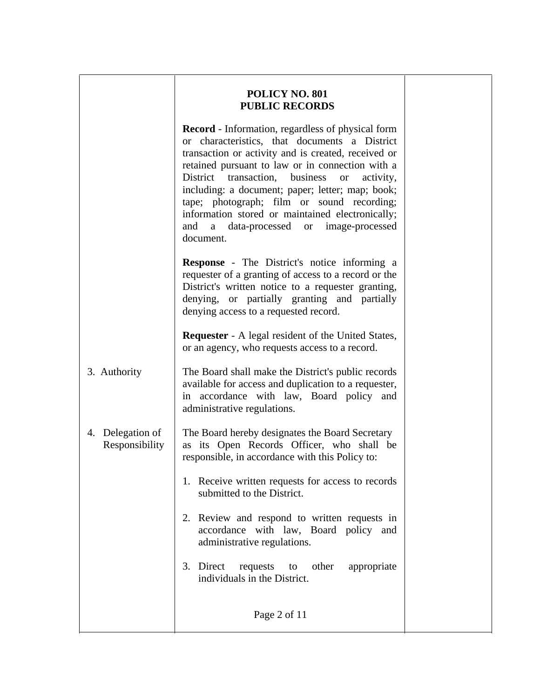$\overline{a}$ 

 $\overline{\phantom{a}}$ 

 **Record** - Information, regardless of physical form or characteristics, that documents a District transaction or activity and is created, received or retained pursuant to law or in connection with a District transaction, business or activity, including: a document; paper; letter; map; book; tape; photograph; film or sound recording; information stored or maintained electronically; and a data-processed or image-processed document.  **Response** - The District's notice informing a requester of a granting of access to a record or the District's written notice to a requester granting, denying, or partially granting and partially denying access to a requested record. **Requester** - A legal resident of the United States, or an agency, who requests access to a record. 3. Authority The Board shall make the District's public records available for access and duplication to a requester, in accordance with law, Board policy and administrative regulations. 4. Delegation of The Board hereby designates the Board Secretary Responsibility  $\parallel$  as its Open Records Officer, who shall be responsible, in accordance with this Policy to: 1. Receive written requests for access to records submitted to the District. 2. Review and respond to written requests in accordance with law, Board policy and administrative regulations. 3. Direct requests to other appropriate individuals in the District. Page 2 of 11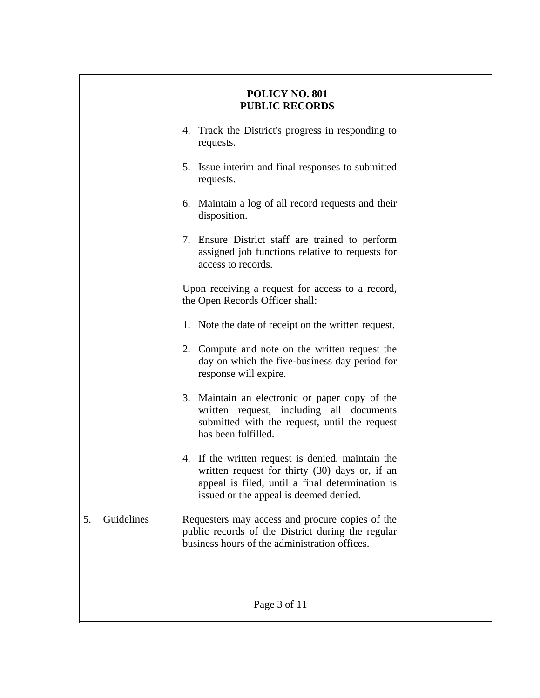|                  | <b>POLICY NO. 801</b><br><b>PUBLIC RECORDS</b>                                                                                                                                                   |  |
|------------------|--------------------------------------------------------------------------------------------------------------------------------------------------------------------------------------------------|--|
|                  | 4. Track the District's progress in responding to<br>requests.                                                                                                                                   |  |
|                  | 5. Issue interim and final responses to submitted<br>requests.                                                                                                                                   |  |
|                  | 6. Maintain a log of all record requests and their<br>disposition.                                                                                                                               |  |
|                  | 7. Ensure District staff are trained to perform<br>assigned job functions relative to requests for<br>access to records.                                                                         |  |
|                  | Upon receiving a request for access to a record,<br>the Open Records Officer shall:                                                                                                              |  |
|                  | 1. Note the date of receipt on the written request.                                                                                                                                              |  |
|                  | 2. Compute and note on the written request the<br>day on which the five-business day period for<br>response will expire.                                                                         |  |
|                  | 3. Maintain an electronic or paper copy of the<br>written request, including all documents<br>submitted with the request, until the request<br>has been fulfilled.                               |  |
|                  | 4. If the written request is denied, maintain the<br>written request for thirty (30) days or, if an<br>appeal is filed, until a final determination is<br>issued or the appeal is deemed denied. |  |
| Guidelines<br>5. | Requesters may access and procure copies of the<br>public records of the District during the regular<br>business hours of the administration offices.                                            |  |
|                  |                                                                                                                                                                                                  |  |
|                  | Page 3 of 11                                                                                                                                                                                     |  |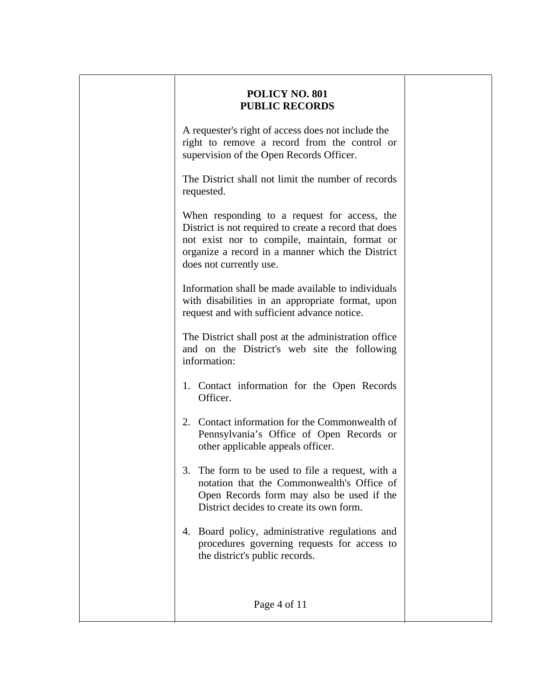| POLICY NO. 801<br><b>PUBLIC RECORDS</b>                                                                                                                                                                                               |  |
|---------------------------------------------------------------------------------------------------------------------------------------------------------------------------------------------------------------------------------------|--|
| A requester's right of access does not include the<br>right to remove a record from the control or<br>supervision of the Open Records Officer.                                                                                        |  |
| The District shall not limit the number of records<br>requested.                                                                                                                                                                      |  |
| When responding to a request for access, the<br>District is not required to create a record that does<br>not exist nor to compile, maintain, format or<br>organize a record in a manner which the District<br>does not currently use. |  |
| Information shall be made available to individuals<br>with disabilities in an appropriate format, upon<br>request and with sufficient advance notice.                                                                                 |  |
| The District shall post at the administration office<br>and on the District's web site the following<br>information:                                                                                                                  |  |
| 1. Contact information for the Open Records<br>Officer.                                                                                                                                                                               |  |
| 2. Contact information for the Commonwealth of<br>Pennsylvania's Office of Open Records or<br>other applicable appeals officer.                                                                                                       |  |
| The form to be used to file a request, with a<br>3.<br>notation that the Commonwealth's Office of<br>Open Records form may also be used if the<br>District decides to create its own form.                                            |  |
| 4. Board policy, administrative regulations and<br>procedures governing requests for access to<br>the district's public records.                                                                                                      |  |
| Page 4 of 11                                                                                                                                                                                                                          |  |

 $\overline{a}$ 

 $\overline{\phantom{a}}$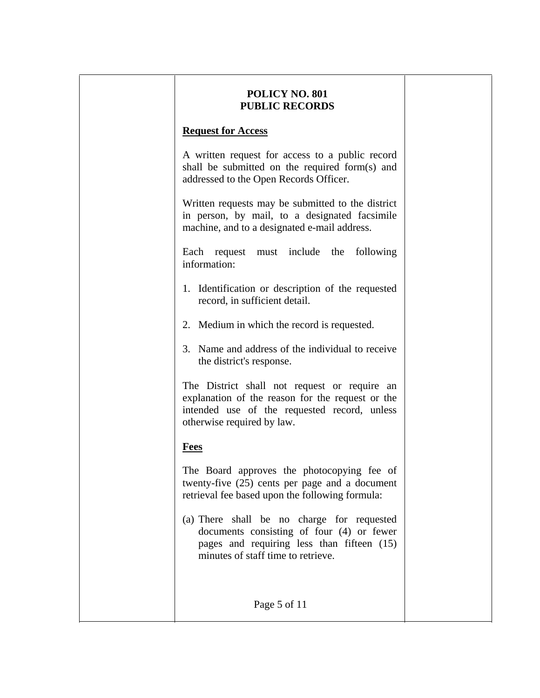### **Request for Access**

 $\overline{a}$ 

 $\overline{\phantom{a}}$ 

 $\overline{\phantom{a}}$ 

 A written request for access to a public record shall be submitted on the required form(s) and addressed to the Open Records Officer.

 Written requests may be submitted to the district in person, by mail, to a designated facsimile machine, and to a designated e-mail address.

 Each request must include the following information:

- 1. Identification or description of the requested record, in sufficient detail.
- 2. Medium in which the record is requested.
- 3. Name and address of the individual to receive the district's response.

The District shall not request or require an explanation of the reason for the request or the intended use of the requested record, unless otherwise required by law.

# **Fees**

 The Board approves the photocopying fee of twenty-five (25) cents per page and a document retrieval fee based upon the following formula:

(a) There shall be no charge for requested documents consisting of four (4) or fewer pages and requiring less than fifteen (15) minutes of staff time to retrieve.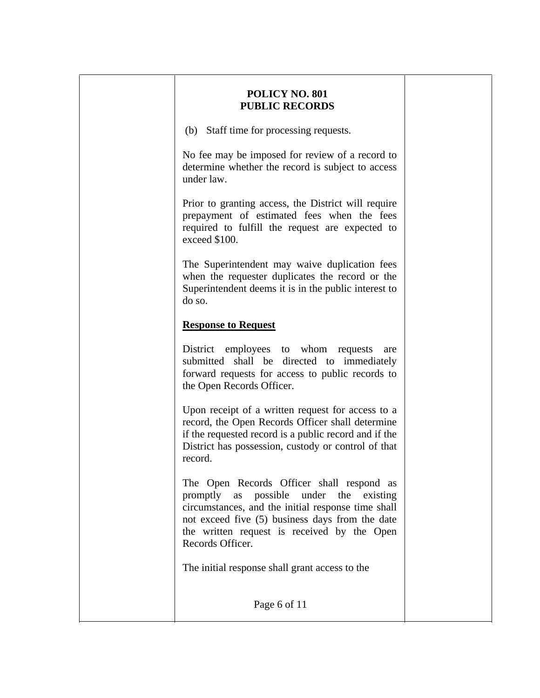(b) Staff time for processing requests.

 No fee may be imposed for review of a record to determine whether the record is subject to access under law.

 Prior to granting access, the District will require prepayment of estimated fees when the fees required to fulfill the request are expected to exceed \$100.

 The Superintendent may waive duplication fees when the requester duplicates the record or the Superintendent deems it is in the public interest to do so.

# **Response to Request**

 $\overline{a}$ 

 $\overline{\phantom{a}}$ 

District employees to whom requests are submitted shall be directed to immediately forward requests for access to public records to the Open Records Officer.

 Upon receipt of a written request for access to a record, the Open Records Officer shall determine if the requested record is a public record and if the District has possession, custody or control of that record.

 The Open Records Officer shall respond as promptly as possible under the existing circumstances, and the initial response time shall not exceed five (5) business days from the date the written request is received by the Open Records Officer.

The initial response shall grant access to the

Page 6 of 11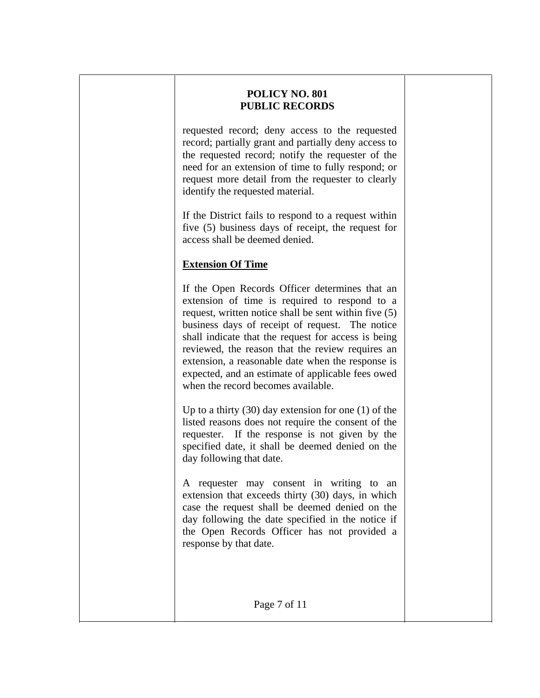requested record; deny access to the requested record; partially grant and partially deny access to the requested record; notify the requester of the need for an extension of time to fully respond; or request more detail from the requester to clearly identify the requested material.

 If the District fails to respond to a request within five (5) business days of receipt, the request for access shall be deemed denied.

# **Extension Of Time**

 $\overline{a}$ 

 $\overline{\phantom{a}}$ 

 $\overline{\phantom{a}}$ 

If the Open Records Officer determines that an extension of time is required to respond to a request, written notice shall be sent within five (5) business days of receipt of request. The notice shall indicate that the request for access is being reviewed, the reason that the review requires an extension, a reasonable date when the response is expected, and an estimate of applicable fees owed when the record becomes available.

Up to a thirty (30) day extension for one (1) of the listed reasons does not require the consent of the requester. If the response is not given by the specified date, it shall be deemed denied on the day following that date.

A requester may consent in writing to an extension that exceeds thirty (30) days, in which case the request shall be deemed denied on the day following the date specified in the notice if the Open Records Officer has not provided a response by that date.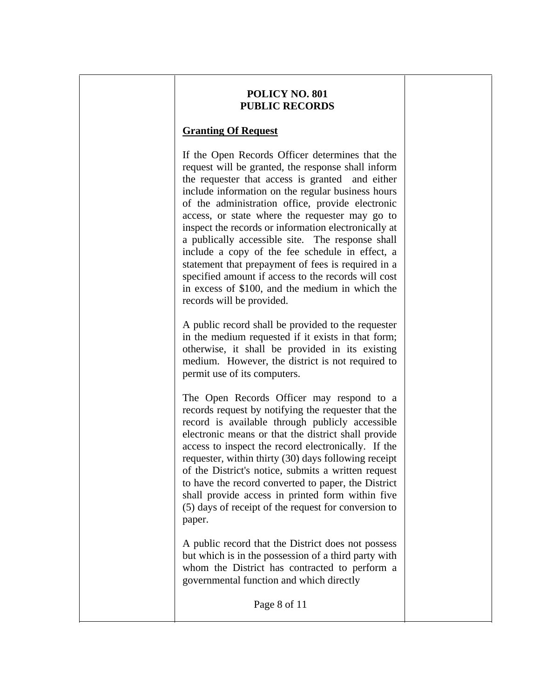#### **Granting Of Request**

 $\overline{a}$ 

 $\overline{\phantom{a}}$ 

 If the Open Records Officer determines that the request will be granted, the response shall inform the requester that access is granted and either include information on the regular business hours of the administration office, provide electronic access, or state where the requester may go to inspect the records or information electronically at a publically accessible site. The response shall include a copy of the fee schedule in effect, a statement that prepayment of fees is required in a specified amount if access to the records will cost in excess of \$100, and the medium in which the records will be provided.

 A public record shall be provided to the requester in the medium requested if it exists in that form; otherwise, it shall be provided in its existing medium. However, the district is not required to permit use of its computers.

 The Open Records Officer may respond to a records request by notifying the requester that the record is available through publicly accessible electronic means or that the district shall provide access to inspect the record electronically. If the requester, within thirty (30) days following receipt of the District's notice, submits a written request to have the record converted to paper, the District shall provide access in printed form within five (5) days of receipt of the request for conversion to paper.

 A public record that the District does not possess but which is in the possession of a third party with whom the District has contracted to perform a governmental function and which directly

Page 8 of 11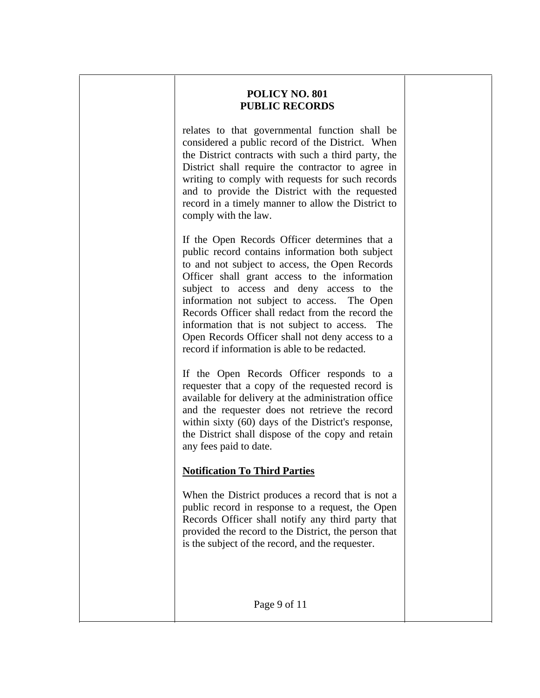$\overline{a}$ 

 $\overline{\phantom{a}}$ 

 $\overline{\phantom{a}}$ 

 relates to that governmental function shall be considered a public record of the District. When the District contracts with such a third party, the District shall require the contractor to agree in writing to comply with requests for such records and to provide the District with the requested record in a timely manner to allow the District to comply with the law.

 If the Open Records Officer determines that a public record contains information both subject to and not subject to access, the Open Records Officer shall grant access to the information subject to access and deny access to the information not subject to access. The Open Records Officer shall redact from the record the information that is not subject to access. The Open Records Officer shall not deny access to a record if information is able to be redacted.

 If the Open Records Officer responds to a requester that a copy of the requested record is available for delivery at the administration office and the requester does not retrieve the record within sixty (60) days of the District's response, the District shall dispose of the copy and retain any fees paid to date.

# **Notification To Third Parties**

 When the District produces a record that is not a public record in response to a request, the Open Records Officer shall notify any third party that provided the record to the District, the person that is the subject of the record, and the requester.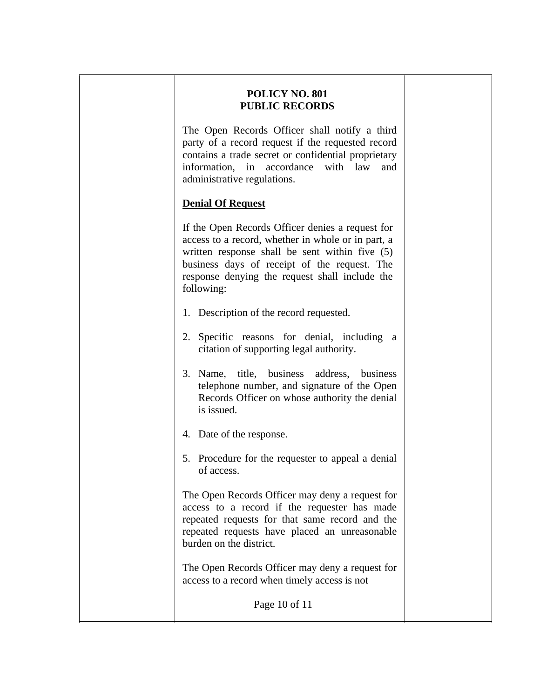The Open Records Officer shall notify a third party of a record request if the requested record contains a trade secret or confidential proprietary information, in accordance with law and administrative regulations.

### **Denial Of Request**

 $\overline{a}$ 

 $\overline{\phantom{a}}$ 

 If the Open Records Officer denies a request for access to a record, whether in whole or in part, a written response shall be sent within five (5) business days of receipt of the request. The response denying the request shall include the following:

- 1. Description of the record requested.
- 2. Specific reasons for denial, including a citation of supporting legal authority.
- 3. Name, title, business address, business telephone number, and signature of the Open Records Officer on whose authority the denial is issued.
- 4. Date of the response.
- 5. Procedure for the requester to appeal a denial of access.

 The Open Records Officer may deny a request for access to a record if the requester has made repeated requests for that same record and the repeated requests have placed an unreasonable burden on the district.

 The Open Records Officer may deny a request for access to a record when timely access is not

Page 10 of 11